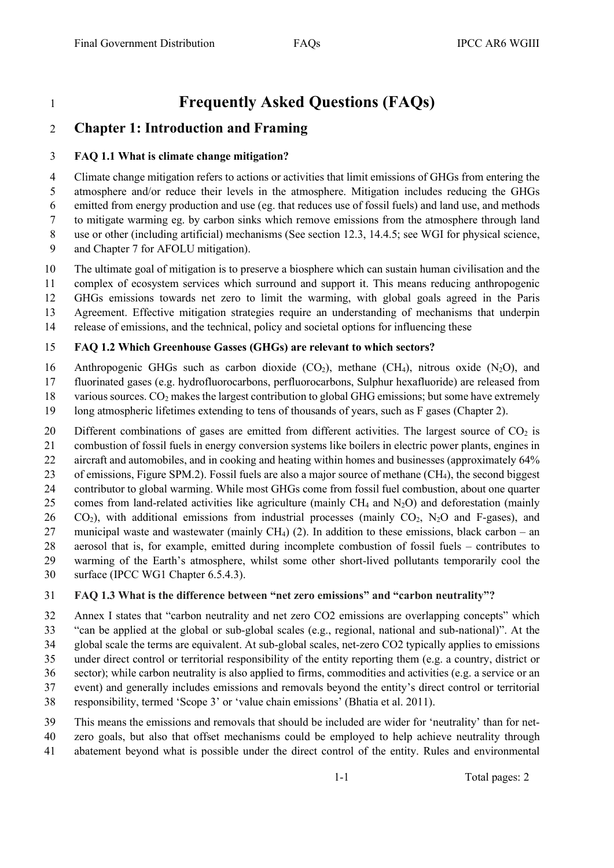# **Frequently Asked Questions (FAQs)**

## **Chapter 1: Introduction and Framing**

#### **FAQ 1.1 What is climate change mitigation?**

 Climate change mitigation refers to actions or activities that limit emissions of GHGs from entering the atmosphere and/or reduce their levels in the atmosphere. Mitigation includes reducing the GHGs emitted from energy production and use (eg. that reduces use of fossil fuels) and land use, and methods to mitigate warming eg. by carbon sinks which remove emissions from the atmosphere through land use or other (including artificial) mechanisms (See section 12.3, 14.4.5; see WGI for physical science,

- and Chapter 7 for AFOLU mitigation).
- The ultimate goal of mitigation is to preserve a biosphere which can sustain human civilisation and the
- complex of ecosystem services which surround and support it. This means reducing anthropogenic
- GHGs emissions towards net zero to limit the warming, with global goals agreed in the Paris
- Agreement. Effective mitigation strategies require an understanding of mechanisms that underpin
- release of emissions, and the technical, policy and societal options for influencing these

#### **FAQ 1.2 Which Greenhouse Gasses (GHGs) are relevant to which sectors?**

- 16 Anthropogenic GHGs such as carbon dioxide  $(CO_2)$ , methane  $(CH_4)$ , nitrous oxide  $(N_2O)$ , and
- fluorinated gases (e.g. hydrofluorocarbons, perfluorocarbons, Sulphur hexafluoride) are released from
- 18 various sources.  $CO<sub>2</sub>$  makes the largest contribution to global GHG emissions; but some have extremely
- long atmospheric lifetimes extending to tens of thousands of years, such as F gases (Chapter 2).
- 20 Different combinations of gases are emitted from different activities. The largest source of  $CO<sub>2</sub>$  is
- combustion of fossil fuels in energy conversion systems like boilers in electric power plants, engines in
- aircraft and automobiles, and in cooking and heating within homes and businesses (approximately 64%
- of emissions, Figure SPM.2). Fossil fuels are also a major source of methane (CH4), the second biggest
- contributor to global warming. While most GHGs come from fossil fuel combustion, about one quarter
- 25 comes from land-related activities like agriculture (mainly  $CH_4$  and  $N_2O$ ) and deforestation (mainly
- CO<sub>2</sub>), with additional emissions from industrial processes (mainly CO<sub>2</sub>, N<sub>2</sub>O and F-gases), and municipal waste and wastewater (mainly CH4) (2). In addition to these emissions, black carbon – an
- aerosol that is, for example, emitted during incomplete combustion of fossil fuels contributes to
- warming of the Earth's atmosphere, whilst some other short-lived pollutants temporarily cool the
- surface (IPCC WG1 Chapter 6.5.4.3).

### **FAQ 1.3 What is the difference between "net zero emissions" and "carbon neutrality"?**

- Annex I states that "carbon neutrality and net zero CO2 emissions are overlapping concepts" which
- "can be applied at the global or sub-global scales (e.g., regional, national and sub-national)". At the
- global scale the terms are equivalent. At sub-global scales, net-zero CO2 typically applies to emissions
- under direct control or territorial responsibility of the entity reporting them (e.g. a country, district or
- sector); while carbon neutrality is also applied to firms, commodities and activities (e.g. a service or an
- event) and generally includes emissions and removals beyond the entity's direct control or territorial
- responsibility, termed 'Scope 3' or 'value chain emissions' (Bhatia et al. 2011).
- This means the emissions and removals that should be included are wider for 'neutrality' than for net-zero goals, but also that offset mechanisms could be employed to help achieve neutrality through
- abatement beyond what is possible under the direct control of the entity. Rules and environmental

1-1 Total pages: 2